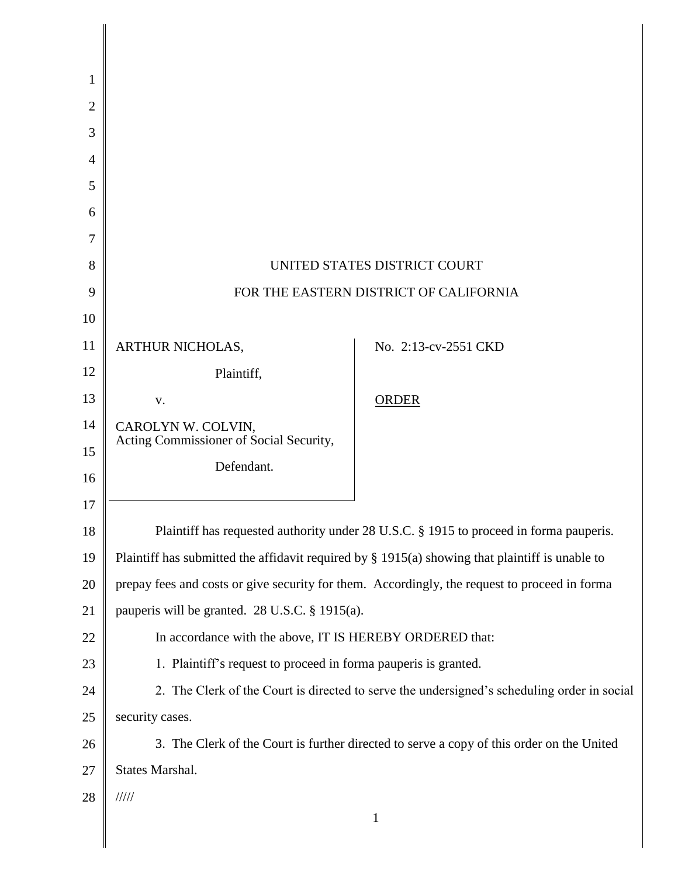| 1              |                                                                                                    |                      |
|----------------|----------------------------------------------------------------------------------------------------|----------------------|
| $\overline{2}$ |                                                                                                    |                      |
| 3              |                                                                                                    |                      |
| 4              |                                                                                                    |                      |
| 5              |                                                                                                    |                      |
| 6              |                                                                                                    |                      |
| 7              |                                                                                                    |                      |
| 8              | UNITED STATES DISTRICT COURT                                                                       |                      |
| 9              | FOR THE EASTERN DISTRICT OF CALIFORNIA                                                             |                      |
| 10             |                                                                                                    |                      |
| 11             | ARTHUR NICHOLAS,                                                                                   | No. 2:13-cv-2551 CKD |
| 12             | Plaintiff,                                                                                         |                      |
| 13             | V.                                                                                                 | <b>ORDER</b>         |
| 14             | CAROLYN W. COLVIN,<br>Acting Commissioner of Social Security,                                      |                      |
| 15             | Defendant.                                                                                         |                      |
| 16             |                                                                                                    |                      |
| 17             |                                                                                                    |                      |
| 18             | Plaintiff has requested authority under 28 U.S.C. § 1915 to proceed in forma pauperis.             |                      |
| 19             | Plaintiff has submitted the affidavit required by $\S$ 1915(a) showing that plaintiff is unable to |                      |
| 20             | prepay fees and costs or give security for them. Accordingly, the request to proceed in forma      |                      |
| 21             | pauperis will be granted. 28 U.S.C. § 1915(a).                                                     |                      |
| 22             | In accordance with the above, IT IS HEREBY ORDERED that:                                           |                      |
| 23             | 1. Plaintiff's request to proceed in forma pauperis is granted.                                    |                      |
| 24             | 2. The Clerk of the Court is directed to serve the undersigned's scheduling order in social        |                      |
| 25             | security cases.                                                                                    |                      |
| 26             | 3. The Clerk of the Court is further directed to serve a copy of this order on the United          |                      |
| 27             | States Marshal.                                                                                    |                      |
| 28             | 11111                                                                                              |                      |
|                |                                                                                                    | $\mathbf{1}$         |